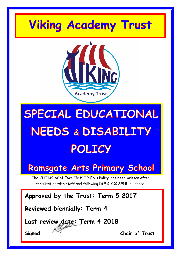# **Viking Academy Trust**



# SPECIAL EDUCATIONAL NEEDS & DISABILITY POLICY

### **Ramsgate Arts Primary School**

The VIKING ACADEMY TRUST 'SEND Policy' has been written after consultation with staff and following DfE & KCC SEND guidance.

**Approved by the Trust: Term 5 2017**

**Reviewed biennially: Term 4**

**Last review date: Term 4 2018**

**Signed: Chair of Trust**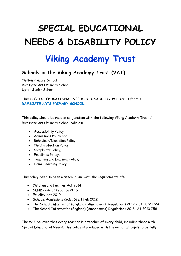## **SPECIAL EDUCATIONAL NEEDS & DISABILITY POLICY**

### **Viking Academy Trust**

#### **Schools in the Viking Academy Trust (VAT)**

Chilton Primary School Ramsgate Arts Primary School Upton Junior School

#### This '**SPECIAL EDUCATIONAL NEEDS & DISABILITY POLICY'** is for the **RAMSGATE ARTS PRIMARY SCHOOL.**

This policy should be read in conjunction with the following Viking Academy Trust / Ramsgate Arts Primary School policies:

- Accessibility Policy;
- Admissions Policy and
- Behaviour/Discipline Policy;
- Child Protection Policy;
- Complaints Policy;
- Equalities Policy;
- Teaching and Learning Policy;
- Home Learning Policy

This policy has also been written in line with the requirements of:-

- Children and Families Act 2014
- SEND Code of Practice 2015
- Equality Act 2010
- Schools Admissions Code, DfE 1 Feb 2012
- The School Information (England) (Amendment) Regulations 2012 SI 2012 1124
- The School Information (England) (Amendment) Regulations 2013 -SI 2013 758

The VAT believes that every teacher is a teacher of every child, including those with Special Educational Needs. This policy is produced with the aim of all pupils to be fully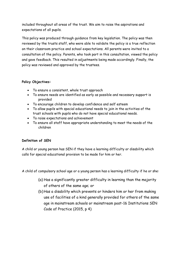included throughout all areas of the trust. We aim to raise the aspirations and expectations of all pupils.

This policy was produced through guidance from key legislation. The policy was then reviewed by the trusts staff, who were able to validate the policy is a true reflection on their classroom practice and school expectations. All parents were invited to a consultation of the policy. Parents, who took part in this consultation, viewed the policy and gave feedback. This resulted in adjustments being made accordingly. Finally, the policy was reviewed and approved by the trustees.

#### **Policy Objectives:**

- To ensure a consistent, whole trust approach
- To ensure needs are identified as early as possible and necessary support is provided
- To encourage children to develop confidence and self esteem
- To allow pupils with special educational needs to join in the activities of the trust schools with pupils who do not have special educational needs.
- To raise expectations and achievement
- To ensure all staff have appropriate understanding to meet the needs of the children

#### **Definition of SEN**

A child or young person has SEN if they have a learning difficulty or disability which calls for special educational provision to be made for him or her.

A child of compulsory school age or a young person has a learning difficulty if he or she:

- (a) Has a significantly greater difficulty in learning than the majority of others of the same age; or
- (b) Has a disability which prevents or hinders him or her from making use of facilities of a kind generally provided for others of the same age in mainstream schools or mainstream post-16 Institutions SEN Code of Practice (2015, p 4)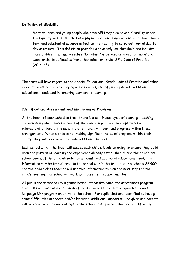#### **Definition of disability**

Many children and young people who have SEN may also have a disability under the Equality Act 2010 – that is 'a physical or mental impairment which has a longterm and substantial adverse effect on their ability to carry out normal day-today activities'. This definition provides a relatively low threshold and includes more children than many realise: 'long-term' is defined as 'a year or more' and 'substantial' is defined as 'more than minor or trivial' SEN Code of Practice (2014, p5)

The trust will have regard to the Special Educational Needs Code of Practice and other relevant legislation when carrying out its duties, identifying pupils with additional educational needs and in removing barriers to learning.

#### **Identification, Assessment and Monitoring of Provision**

At the heart of each school in trust there is a continuous cycle of planning, teaching and assessing which takes account of the wide range of abilities, aptitudes and interests of children. The majority of children will learn and progress within these arrangements. When a child is not making significant rates of progress within their ability, they will receive appropriate additional support.

Each school within the trust will assess each child's levels on entry to ensure they build upon the pattern of learning and experience already established during the child's preschool years. If the child already has an identified additional educational need, this information may be transferred to the school within the trust and the schools SENCO and the child's class teacher will use this information to plan the next steps of the child's learning. The school will work with parents in supporting this.

All pupils are screened (by a games based interactive computer assessment program that lasts approximately 15 minutes) and supported through the Speech Link and Language Link program on entry to the school. For pupils that are identified as having some difficulties in speech and/or language, additional support will be given and parents will be encouraged to work alongside the school in supporting this area of difficulty.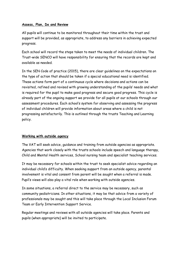#### **Assess, Plan, Do and Review**

All pupils will continue to be monitored throughout their time within the trust and support will be provided, as appropriate, to address any barriers in achieving expected progress.

Each school will record the steps taken to meet the needs of individual children. The Trust-wide SENCO will have responsibility for ensuring that the records are kept and available as needed.

In the SEN Code of practice (2015), there are clear guidelines on the expectations on the type of action that should be taken if a special educational need is identified. These actions form part of a continuous cycle where decisions and actions can be revisited, refined and revised with growing understanding of the pupils' needs and what is required for the pupil to make good progress and secure good progress. This cycle is already part of the ongoing support we provide for all pupils at our schools through our assessment procedures. Each school's system for observing and assessing the progress of individual children will provide information about areas where a child is not progressing satisfactorily. This is outlined through the trusts Teaching and Learning policy.

#### **Working with outside agency**

The VAT will seek advice, guidance and training from outside agencies as appropriate. Agencies that work closely with the trusts schools include speech and language therapy, Child and Mental Health services, School nursing team and specialist teaching services.

It may be necessary for schools within the trust to seek specialist advice regarding an individual child's difficulty. When seeking support from an outside agency, parental involvement is vital and consent from parent will be sought when a referral is made. Pupil's views will also play a vital role when working with outside agencies.

In some situations, a referral direct to the service may be necessary, such as community pediatricians. In other situations, it may be that advice from a variety of professionals may be sought and this will take place through the Local Inclusion Forum Team or Early Intervention Support Service.

Regular meetings and reviews with all outside agencies will take place. Parents and pupils (when appropriate) will be invited to participate.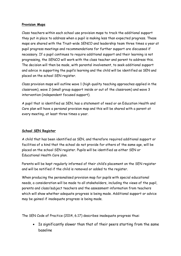#### **Provision Maps**

Class teachers within each school use provision maps to track the additional support they put in place to address when a pupil is making less than expected progress. These maps are shared with the Trust-wide SENCO and leadership team three times a year at pupil progress meetings and recommendations for further support are discussed if necessary. If a pupil continues to require additional support and their learning is not progressing, the SENCO will work with the class teacher and parent to address this. The decision will then be made, with parental involvement, to seek additional support and advice in supporting the pupil's learning and the child will be identified as SEN and placed on the school SEN register.

Class provision maps will outline wave 1 (high quality teaching approaches applied in the classroom), wave 2 (small group support inside or out of the classroom) and wave 3 intervention (independent focused support).

A pupil that is identified as SEN, has a statement of need or an Education Health and Care plan will have a personal provision map and this will be shared with a parent at every meeting, at least three times a year.

#### **School SEN Register**

A child that has been identified as SEN, and therefore required additional support or facilities of a kind that the school do not provide for others of the same age, will be placed on the school SEN register. Pupils will be identified as either SEN or Educational Health Care plan.

Parents will be kept regularly informed of their child's placement on the SEN register and will be notified if the child is removed or added to the register.

When producing the personalised provision map for pupils with special educational needs, a consideration will be made to all stakeholders, including the views of the pupil, parents and class/subject teachers and the assessment information from teachers which will show whether adequate progress is being made. Additional support or advice may be gained if inadequate progress is being made.

The SEN Code of Practice (2014, 6.17) describes inadequate progress thus:

 Is significantly slower than that of their peers starting from the same baseline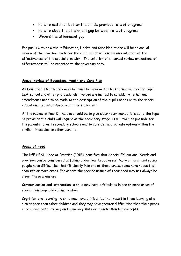- Fails to match or better the child's previous rate of progress
- Fails to close the attainment gap between rate of progress
- Widens the attainment gap

For pupils with or without Education, Health and Care Plan, there will be an annual review of the provision made for the child, which will enable an evaluation of the effectiveness of the special provision. The collation of all annual review evaluations of effectiveness will be reported to the governing body.

#### **Annual review of Education, Heath and Care Plan**

All Education, Health and Care Plan must be reviewed at least annually. Parents, pupil, LEA, school and other professionals involved are invited to consider whether any amendments need to be made to the description of the pupil's needs or to the special educational provision specified in the statement.

At the review in Year 5, the aim should be to give clear recommendations as to the type of provision the child will require at the secondary stage. It will then be possible for the parents to visit secondary schools and to consider appropriate options within the similar timescales to other parents.

#### **Areas of need**

The DfE SEND Code of Practice (2015) identifies that Special Educational Needs and provision can be considered as falling under four broad areas. Many children and young people have difficulties that fit clearly into one of these areas; some have needs that span two or more areas. For others the precise nature of their need may not always be clear. These areas are:

**Communication and interaction**- a child may have difficulties in one or more areas of speech, language and communication.

**Cognition and learning**- A child may have difficulties that result in them learning at a slower pace than other children and they may have greater difficulties than their peers in acquiring basic literacy and numeracy skills or in understanding concepts.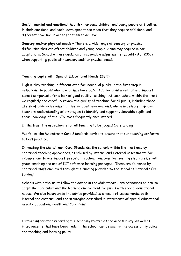**Social, mental and emotional health** – For some children and young people difficulties in their emotional and social development can mean that they require additional and different provision in order for them to achieve.

**Sensory and/or physical needs** – There is a wide range of sensory or physical difficulties that can affect children and young people. Some may require minor adaptations. School will use guidance on reasonable adjustments (Equality Act 2010) when supporting pupils with sensory and/ or physical needs.

#### **Teaching pupils with Special Educational Needs (SEN)**

High quality teaching, differentiated for individual pupils, is the first step in responding to pupils who have or may have SEN. Additional intervention and support cannot compensate for a lack of good quality teaching. At each school within the trust we regularly and carefully review the quality of teaching for all pupils, including those at risk of underachievement. This includes reviewing and, where necessary, improving, teachers' understanding of strategies to identify and support vulnerable pupils and their knowledge of the SEN most frequently encountered.

In the trust the aspiration is for all teaching to be judged Outstanding.

We follow the Mainstream Core Standards advice to ensure that our teaching conforms to best practice.

In meeting the Mainstream Core Standards, the schools within the trust employ additional teaching approaches, as advised by internal and external assessments for example, one to one support, precision teaching, language for learning strategies, small group teaching and use of ICT software learning packages. These are delivered by additional staff employed through the funding provided to the school as 'notional SEN funding'

Schools within the trust follow the advice in the Mainstream Core Standards on how to adapt the curriculum and the learning environment for pupils with special educational needs. We also incorporate the advice provided as a result of assessments, both internal and external, and the strategies described in statements of special educational needs / Education, Health and Care Plans.

Further information regarding the teaching strategies and accessibility, as well as improvements that have been made in the school, can be seen in the accessibility policy and teaching and learning policy.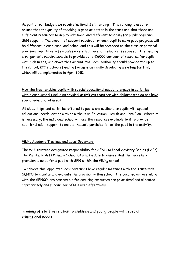As part of our budget, we receive 'notional SEN funding'. This funding is used to ensure that the quality of teaching is good or better in the trust and that there are sufficient resources to deploy additional and different teaching for pupils requiring SEN support. The amount of support required for each pupil to make good progress will be different in each case and school and this will be recorded on the class or personal provision map. In very few cases a very high level of resource is required. The funding arrangements require schools to provide up to £6000 per year of resource for pupils with high needs, and above that amount, the Local Authority should provide top up to the school, KCC's Schools Funding Forum is currently developing a system for this, which will be implemented in April 2015.

#### How the trust enables pupils with special educational needs to engage in activities within each school (including physical activities) together with children who do not have special educational needs

All clubs, trips and activities offered to pupils are available to pupils with special educational needs, either with or without an Education, Health and Care Plan. Where it is necessary, the individual school will use the resources available to it to provide additional adult support to enable the safe participation of the pupil in the activity.

#### Viking Academy Trustees and Local Governors

The VAT trustees designated responsibility for SEND to Local Advisory Bodies (LABs). The Ramsgate Arts Primary School LAB has a duty to ensure that the necessary provision is made for a pupil with SEN within the Viking school.

To achieve this, appointed local governors have regular meetings with the Trust-wide SENCO to monitor and evaluate the provision within school. The Local Governors, along with the SENCO, are responsible for ensuring resources are prioritized and allocated appropriately and funding for SEN is used effectively.

Training of staff in relation to children and young people with special educational needs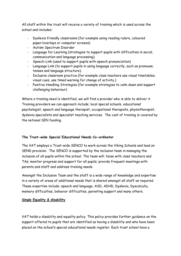All staff within the trust will receive a variety of training which is used across the school and includes:

- Dyslexia friendly classrooms (for example using reading rulers, coloured paper/overlays or computer screens)
- Autism Spectrum Disorder
- Language for Learning (strategies to support pupils with difficulties in social, communication and language processing)
- Speech-Link (used to support pupils with speech pronunciation)
- Language Link (to support pupils in using language correctly, such as pronouns, tenses and language structure).
- Inclusive classroom practice (for example class teachers use visual timetables, visual cues, use timed warning for change of activity.)
- Positive Handling Strategies (for example strategies to calm down and support challenging behaviour)

Where a training need is identified, we will find a provider who is able to deliver it. Training providers we can approach include; local special schools, educational psychologist, speech and language therapist, occupational therapists, physiotherapist, dyslexia specialists and specialist teaching services. The cost of training is covered by the notional SEN funding.

#### **The Trust-wide Special Educational Needs Co-ordinator**

The VAT employs a Trust-wide SENCO to work across the Viking Schools and lead on SEND provision. The SENCO is supported by the inclusion team in managing the inclusion of all pupils within the school. The team will: liaise with class teachers and TAs; monitor progress and support for all pupils; provide frequent meetings with parents and staff and address training needs.

Amongst the Inclusion Team and the staff is a wide range of knowledge and expertise in a variety of areas of additional needs that is shared amongst all staff as required. These expertise include; speech and language, ASD, ADHD, Dyslexia, Dyscalculia, memory difficulties, behavior difficulties, parenting support and many others.

#### **Single Equality & disability**

VAT holds a disability and equality policy. This policy provides further guidance on the support offered to pupils that are identified as having a disability and who have been placed on the school's special educational needs register. Each trust school have a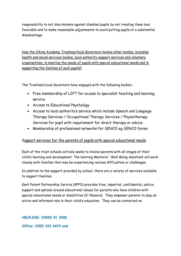responsibility to not discriminate against disabled pupils by not treating them less favorable and to make reasonable adjustments to avoid putting pupils at a substantial disadvantage.

How the Viking Academy Trustees/local Governors involve other bodies, including health and social services bodies, local authority support services and voluntary organisations, in meeting the needs of pupils with special educational needs and in supporting the families of such pupils?

The Trustees/Local Governors have engaged with the following bodies:-

- Free membership of LIFT for access to specialist teaching and learning service
- Access to Educational Psychology
- Access to local authority's service which include Speech and Language Therapy Services / Occupational Therapy Services / Physiotherapy Services for pupil with requirement for direct therapy or advice
- Membership of professional networks for SENCO eg SENCO forum

#### Support services for the parents of pupils with special educational needs

Each of the trust schools actively seeks to involve parents with all stages of their child's learning and development. The learning Mentors/ Well-Being Assistant will work closely with families that may be experiencing various difficulties or challenges.

In addition to the support provided by school, there are a variety of services available to support families.

Kent Parent Partnership Service (KPPS) provides free, impartial, confidential, advice, support and options around educational issues for parents who have children with special educational needs or disabilities (0-19years). They empower parents to play an active and informed role in their child's education. They can be contacted on

**HELPLINE: 03000 41 3000**

**Office: 0300 333 6474 and**